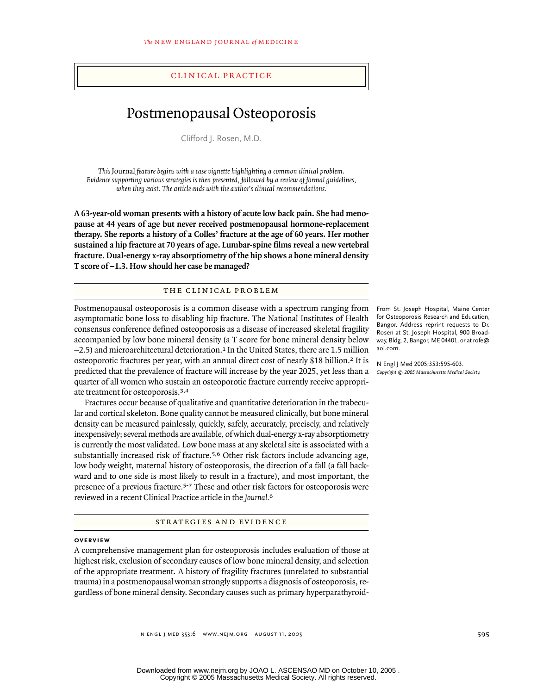## clinical practice

# Postmenopausal Osteoporosis

Clifford J. Rosen, M.D.

*This* Journal *feature begins with a case vignette highlighting a common clinical problem. Evidence supporting various strategies is then presented, followed by a review of formal guidelines, when they exist. The article ends with the author's clinical recommendations.*

**A 63-year-old woman presents with a history of acute low back pain. She had menopause at 44 years of age but never received postmenopausal hormone-replacement therapy. She reports a history of a Colles' fracture at the age of 60 years. Her mother sustained a hip fracture at 70 years of age. Lumbar-spine films reveal a new vertebral fracture. Dual-energy x-ray absorptiometry of the hip shows a bone mineral density** T score of  $-1.3$ . How should her case be managed?

## the clinical problem

Postmenopausal osteoporosis is a common disease with a spectrum ranging from asymptomatic bone loss to disabling hip fracture. The National Institutes of Health consensus conference defined osteoporosis as a disease of increased skeletal fragility accompanied by low bone mineral density (a T score for bone mineral density below  $-2.5$ ) and microarchitectural deterioration.<sup>1</sup> In the United States, there are 1.5 million osteoporotic fractures per year, with an annual direct cost of nearly \$18 billion.2 It is predicted that the prevalence of fracture will increase by the year 2025, yet less than a quarter of all women who sustain an osteoporotic fracture currently receive appropriate treatment for osteoporosis.3,4

Fractures occur because of qualitative and quantitative deterioration in the trabecular and cortical skeleton. Bone quality cannot be measured clinically, but bone mineral density can be measured painlessly, quickly, safely, accurately, precisely, and relatively inexpensively; several methods are available, of which dual-energy x-ray absorptiometry is currently the most validated. Low bone mass at any skeletal site is associated with a substantially increased risk of fracture.5,6 Other risk factors include advancing age, low body weight, maternal history of osteoporosis, the direction of a fall (a fall backward and to one side is most likely to result in a fracture), and most important, the presence of a previous fracture*.*5-7 These and other risk factors for osteoporosis were reviewed in a recent Clinical Practice article in the *Journal.*<sup>6</sup>

strategies and evidence

## **overview**

A comprehensive management plan for osteoporosis includes evaluation of those at highest risk, exclusion of secondary causes of low bone mineral density, and selection of the appropriate treatment. A history of fragility fractures (unrelated to substantial trauma) in a postmenopausal woman strongly supports a diagnosis of osteoporosis, regardless of bone mineral density. Secondary causes such as primary hyperparathyroid-

From St. Joseph Hospital, Maine Center for Osteoporosis Research and Education, Bangor. Address reprint requests to Dr. Rosen at St. Joseph Hospital, 900 Broadway, Bldg. 2, Bangor, ME 04401, or at rofe@ aol.com.

N Engl J Med 2005;353:595-603. *Copyright © 2005 Massachusetts Medical Society.*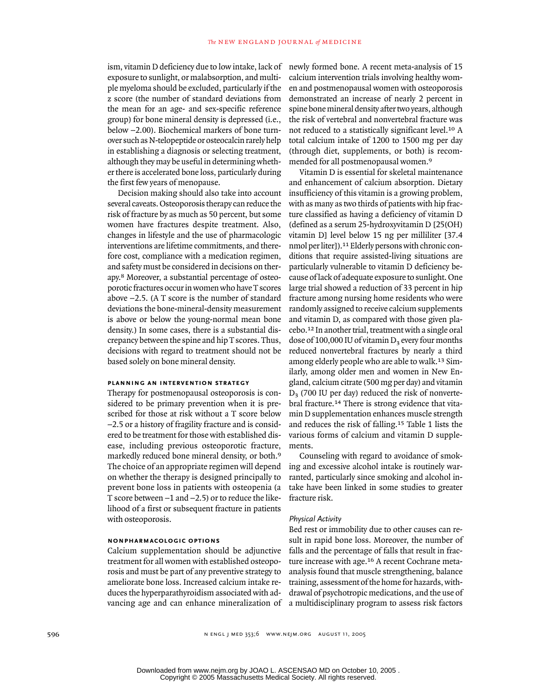ism, vitamin D deficiency due to low intake, lack of exposure to sunlight, or malabsorption, and multiple myeloma should be excluded, particularly if the z score (the number of standard deviations from the mean for an age- and sex-specific reference group) for bone mineral density is depressed (i.e., below  $-2.00$ ). Biochemical markers of bone turnover such as N-telopeptide or osteocalcin rarely help in establishing a diagnosis or selecting treatment, although they may be useful in determining whether there is accelerated bone loss, particularly during the first few years of menopause.

Decision making should also take into account several caveats. Osteoporosis therapy can reduce the risk of fracture by as much as 50 percent, but some women have fractures despite treatment. Also, changes in lifestyle and the use of pharmacologic interventions are lifetime commitments, and therefore cost, compliance with a medication regimen, and safety must be considered in decisions on therapy.8 Moreover, a substantial percentage of osteoporotic fractures occur in women who have T scores above  $-2.5$ . (A T score is the number of standard deviations the bone-mineral-density measurement is above or below the young-normal mean bone density.) In some cases, there is a substantial discrepancy between the spine and hip T scores. Thus, decisions with regard to treatment should not be based solely on bone mineral density.

## **planning an intervention strategy**

Therapy for postmenopausal osteoporosis is considered to be primary prevention when it is prescribed for those at risk without a T score below -2.5 or a history of fragility fracture and is considered to be treatment for those with established disease, including previous osteoporotic fracture, markedly reduced bone mineral density, or both.<sup>9</sup> The choice of an appropriate regimen will depend on whether the therapy is designed principally to prevent bone loss in patients with osteopenia (a T score between  $-1$  and  $-2.5$ ) or to reduce the likelihood of a first or subsequent fracture in patients with osteoporosis.

## **nonpharmacologic options**

Calcium supplementation should be adjunctive treatment for all women with established osteoporosis and must be part of any preventive strategy to ameliorate bone loss. Increased calcium intake reduces the hyperparathyroidism associated with advancing age and can enhance mineralization of

newly formed bone. A recent meta-analysis of 15 calcium intervention trials involving healthy women and postmenopausal women with osteoporosis demonstrated an increase of nearly 2 percent in spine bone mineral density after two years, although the risk of vertebral and nonvertebral fracture was not reduced to a statistically significant level.10 A total calcium intake of 1200 to 1500 mg per day (through diet, supplements, or both) is recommended for all postmenopausal women.<sup>9</sup>

Vitamin D is essential for skeletal maintenance and enhancement of calcium absorption. Dietary insufficiency of this vitamin is a growing problem, with as many as two thirds of patients with hip fracture classified as having a deficiency of vitamin D (defined as a serum 25-hydroxyvitamin D [25(OH) vitamin D] level below 15 ng per milliliter [37.4 nmol per liter]).11 Elderly persons with chronic conditions that require assisted-living situations are particularly vulnerable to vitamin D deficiency because of lack of adequate exposure to sunlight. One large trial showed a reduction of 33 percent in hip fracture among nursing home residents who were randomly assigned to receive calcium supplements and vitamin D, as compared with those given placebo.12 In another trial, treatment with a single oral dose of 100,000 IU of vitamin  $D_3$  every four months reduced nonvertebral fractures by nearly a third among elderly people who are able to walk.13 Similarly, among older men and women in New England, calcium citrate (500 mg per day) and vitamin  $D<sub>3</sub>$  (700 IU per day) reduced the risk of nonvertebral fracture.14 There is strong evidence that vitamin D supplementation enhances muscle strength and reduces the risk of falling.15 Table 1 lists the various forms of calcium and vitamin D supplements.

Counseling with regard to avoidance of smoking and excessive alcohol intake is routinely warranted, particularly since smoking and alcohol intake have been linked in some studies to greater fracture risk.

#### *Physical Activity*

Bed rest or immobility due to other causes can result in rapid bone loss. Moreover, the number of falls and the percentage of falls that result in fracture increase with age.16 A recent Cochrane metaanalysis found that muscle strengthening, balance training, assessment of the home for hazards, withdrawal of psychotropic medications, and the use of a multidisciplinary program to assess risk factors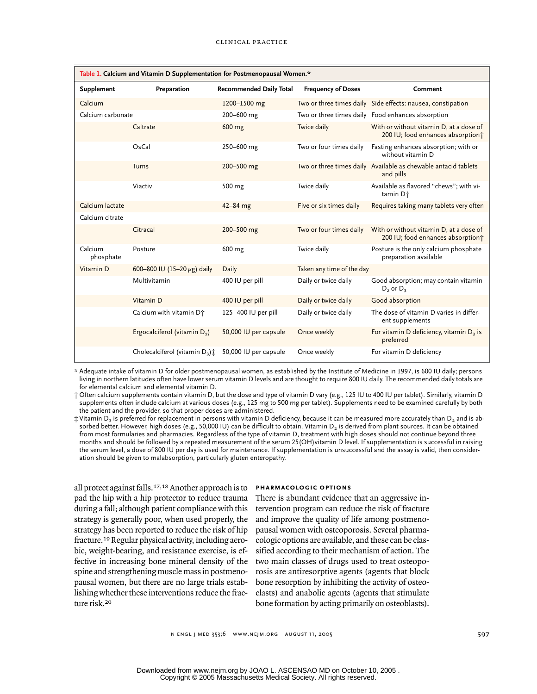| Table 1. Calcium and Vitamin D Supplementation for Postmenopausal Women.* |                                          |                                |                           |                                                                              |  |  |  |  |
|---------------------------------------------------------------------------|------------------------------------------|--------------------------------|---------------------------|------------------------------------------------------------------------------|--|--|--|--|
| <b>Supplement</b>                                                         | Preparation                              | <b>Recommended Daily Total</b> | <b>Frequency of Doses</b> | Comment                                                                      |  |  |  |  |
| Calcium                                                                   |                                          | 1200-1500 mg                   |                           | Two or three times daily Side effects: nausea, constipation                  |  |  |  |  |
| Calcium carbonate                                                         |                                          | 200-600 mg                     |                           | Two or three times daily Food enhances absorption                            |  |  |  |  |
|                                                                           | Caltrate                                 | 600 mg                         | Twice daily               | With or without vitamin D, at a dose of<br>200 IU; food enhances absorption; |  |  |  |  |
|                                                                           | OsCal                                    | 250-600 mg                     | Two or four times daily   | Fasting enhances absorption; with or<br>without vitamin D                    |  |  |  |  |
|                                                                           | Tums                                     | 200-500 mg                     |                           | Two or three times daily Available as chewable antacid tablets<br>and pills  |  |  |  |  |
|                                                                           | Viactiv                                  | 500 mg                         | Twice daily               | Available as flavored "chews"; with vi-<br>tamin D <sup>+</sup>              |  |  |  |  |
| Calcium lactate                                                           |                                          | $42 - 84$ mg                   | Five or six times daily   | Requires taking many tablets very often                                      |  |  |  |  |
| Calcium citrate                                                           |                                          |                                |                           |                                                                              |  |  |  |  |
|                                                                           | Citracal                                 | 200-500 mg                     | Two or four times daily   | With or without vitamin D, at a dose of<br>200 IU; food enhances absorption; |  |  |  |  |
| Calcium<br>phosphate                                                      | Posture                                  | 600 mg                         | Twice daily               | Posture is the only calcium phosphate<br>preparation available               |  |  |  |  |
| Vitamin D                                                                 | 600-800 IU (15-20 $\mu$ g) daily         | Daily                          | Taken any time of the day |                                                                              |  |  |  |  |
|                                                                           | Multivitamin                             | 400 IU per pill                | Daily or twice daily      | Good absorption; may contain vitamin<br>$D_2$ or $D_3$                       |  |  |  |  |
|                                                                           | Vitamin D                                | 400 IU per pill                | Daily or twice daily      | Good absorption                                                              |  |  |  |  |
|                                                                           | Calcium with vitamin D <sup>+</sup>      | 125-400 IU per pill            | Daily or twice daily      | The dose of vitamin D varies in differ-<br>ent supplements                   |  |  |  |  |
|                                                                           | Ergocalciferol (vitamin D <sub>2</sub> ) | 50,000 IU per capsule          | Once weekly               | For vitamin D deficiency, vitamin $D_3$ is<br>preferred                      |  |  |  |  |
|                                                                           | Cholecalciferol (vitamin $D_3$ ) $\pm$   | 50,000 IU per capsule          | Once weekly               | For vitamin D deficiency                                                     |  |  |  |  |

\* Adequate intake of vitamin D for older postmenopausal women, as established by the Institute of Medicine in 1997, is 600 IU daily; persons living in northern latitudes often have lower serum vitamin D levels and are thought to require 800 IU daily. The recommended daily totals are for elemental calcium and elemental vitamin D.

† Often calcium supplements contain vitamin D, but the dose and type of vitamin D vary (e.g., 125 IU to 400 IU per tablet). Similarly, vitamin D supplements often include calcium at various doses (e.g., 125 mg to 500 mg per tablet). Supplements need to be examined carefully by both the patient and the provider, so that proper doses are administered.

 $\ddagger$  Vitamin D<sub>3</sub> is preferred for replacement in persons with vitamin D deficiency, because it can be measured more accurately than D<sub>2</sub> and is absorbed better. However, high doses (e.g., 50,000 IU) can be difficult to obtain. Vitamin D<sub>2</sub> is derived from plant sources. It can be obtained from most formularies and pharmacies. Regardless of the type of vitamin D, treatment with high doses should not continue beyond three months and should be followed by a repeated measurement of the serum 25(OH)vitamin D level. If supplementation is successful in raising the serum level, a dose of 800 IU per day is used for maintenance. If supplementation is unsuccessful and the assay is valid, then consideration should be given to malabsorption, particularly gluten enteropathy.

all protect against falls.17,18 Another approach is to pad the hip with a hip protector to reduce trauma during a fall; although patient compliance with this strategy is generally poor, when used properly, the strategy has been reported to reduce the risk of hip fracture.19 Regular physical activity, including aerobic, weight-bearing, and resistance exercise, is effective in increasing bone mineral density of the spine and strengthening muscle mass in postmenopausal women, but there are no large trials establishing whether these interventions reduce the fracture risk.<sup>20</sup>

## **pharmacologic options**

There is abundant evidence that an aggressive intervention program can reduce the risk of fracture and improve the quality of life among postmenopausal women with osteoporosis. Several pharmacologic options are available, and these can be classified according to their mechanism of action. The two main classes of drugs used to treat osteoporosis are antiresorptive agents (agents that block bone resorption by inhibiting the activity of osteoclasts) and anabolic agents (agents that stimulate bone formation by acting primarily on osteoblasts).

n engl j med 353;6 www.nejm.org august 11, 2005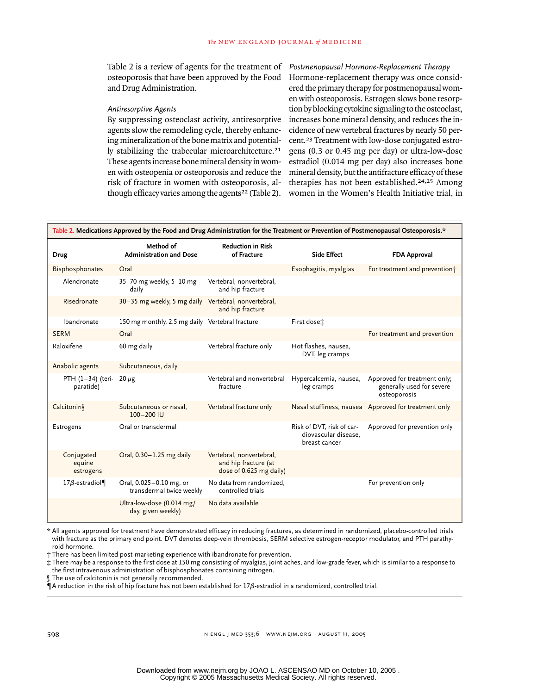Table 2 is a review of agents for the treatment of osteoporosis that have been approved by the Food and Drug Administration.

### *Antiresorptive Agents*

By suppressing osteoclast activity, antiresorptive agents slow the remodeling cycle, thereby enhancing mineralization of the bone matrix and potentially stabilizing the trabecular microarchitecture.<sup>21</sup> These agents increase bone mineral density in women with osteopenia or osteoporosis and reduce the risk of fracture in women with osteoporosis, although efficacy varies among the agents<sup>22</sup> (Table 2). *Postmenopausal Hormone-Replacement Therapy* Hormone-replacement therapy was once considered the primary therapy for postmenopausal women with osteoporosis. Estrogen slows bone resorption by blocking cytokine signaling to the osteoclast, increases bone mineral density, and reduces the incidence of new vertebral fractures by nearly 50 percent.23 Treatment with low-dose conjugated estrogens (0.3 or 0.45 mg per day) or ultra-low-dose estradiol (0.014 mg per day) also increases bone mineral density, but the antifracture efficacy of these therapies has not been established.24,25 Among women in the Women's Health Initiative trial, in

| Table 2. Medications Approved by the Food and Drug Administration for the Treatment or Prevention of Postmenopausal Osteoporosis.* |                                                      |                                                                             |                                                                    |                                                                           |  |  |  |
|------------------------------------------------------------------------------------------------------------------------------------|------------------------------------------------------|-----------------------------------------------------------------------------|--------------------------------------------------------------------|---------------------------------------------------------------------------|--|--|--|
| <b>Drug</b>                                                                                                                        | Method of<br><b>Administration and Dose</b>          | <b>Reduction in Risk</b><br>of Fracture                                     | <b>Side Effect</b>                                                 | <b>FDA Approval</b>                                                       |  |  |  |
| Bisphosphonates                                                                                                                    | Oral                                                 |                                                                             | Esophagitis, myalgias                                              | For treatment and prevention;                                             |  |  |  |
| Alendronate                                                                                                                        | 35-70 mg weekly, 5-10 mg<br>daily                    | Vertebral, nonvertebral,<br>and hip fracture                                |                                                                    |                                                                           |  |  |  |
| Risedronate                                                                                                                        | 30-35 mg weekly, 5 mg daily Vertebral, nonvertebral, | and hip fracture                                                            |                                                                    |                                                                           |  |  |  |
| Ibandronate                                                                                                                        | 150 mg monthly, 2.5 mg daily Vertebral fracture      |                                                                             | First doset:                                                       |                                                                           |  |  |  |
| <b>SERM</b>                                                                                                                        | Oral                                                 |                                                                             |                                                                    | For treatment and prevention                                              |  |  |  |
| Raloxifene                                                                                                                         | 60 mg daily                                          | Vertebral fracture only                                                     | Hot flashes, nausea,<br>DVT, leg cramps                            |                                                                           |  |  |  |
| Anabolic agents                                                                                                                    | Subcutaneous, daily                                  |                                                                             |                                                                    |                                                                           |  |  |  |
| $PTH (1-34)$ (teri-<br>paratide)                                                                                                   | $20 \mu g$                                           | Vertebral and nonvertebral<br>fracture                                      | Hypercalcemia, nausea,<br>leg cramps                               | Approved for treatment only;<br>generally used for severe<br>osteoporosis |  |  |  |
| Calcitonin                                                                                                                         | Subcutaneous or nasal,<br>100-200 IU                 | Vertebral fracture only                                                     | Nasal stuffiness, nausea                                           | Approved for treatment only                                               |  |  |  |
| Estrogens                                                                                                                          | Oral or transdermal                                  |                                                                             | Risk of DVT, risk of car-<br>diovascular disease,<br>breast cancer | Approved for prevention only                                              |  |  |  |
| Conjugated<br>equine<br>estrogens                                                                                                  | Oral, 0.30-1.25 mg daily                             | Vertebral, nonvertebral,<br>and hip fracture (at<br>dose of 0.625 mg daily) |                                                                    |                                                                           |  |  |  |
| 17 $\beta$ -estradiol¶                                                                                                             | Oral, 0.025-0.10 mg, or<br>transdermal twice weekly  | No data from randomized,<br>controlled trials                               |                                                                    | For prevention only                                                       |  |  |  |
|                                                                                                                                    | Ultra-low-dose (0.014 mg/<br>day, given weekly)      | No data available                                                           |                                                                    |                                                                           |  |  |  |

\* All agents approved for treatment have demonstrated efficacy in reducing fractures, as determined in randomized, placebo-controlled trials with fracture as the primary end point. DVT denotes deep-vein thrombosis, SERM selective estrogen-receptor modulator, and PTH parathyroid hormone.

† There has been limited post-marketing experience with ibandronate for prevention.

‡ There may be a response to the first dose at 150 mg consisting of myalgias, joint aches, and low-grade fever, which is similar to a response to the first intravenous administration of bisphosphonates containing nitrogen.

The use of calcitonin is not generally recommended.

¶A reduction in the risk of hip fracture has not been established for 17*b*-estradiol in a randomized, controlled trial.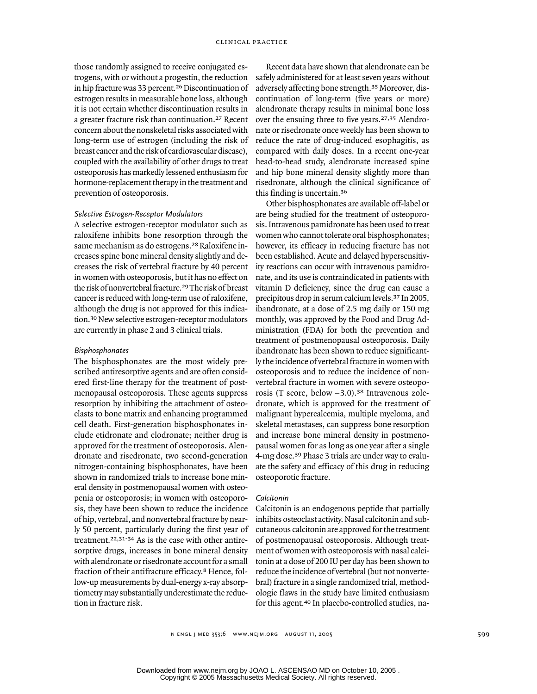those randomly assigned to receive conjugated estrogens, with or without a progestin, the reduction in hip fracture was 33 percent.26 Discontinuation of estrogen results in measurable bone loss, although it is not certain whether discontinuation results in a greater fracture risk than continuation.27 Recent concern about the nonskeletal risks associated with long-term use of estrogen (including the risk of breast cancer and the risk of cardiovascular disease), coupled with the availability of other drugs to treat osteoporosis has markedly lessened enthusiasm for hormone-replacement therapy in the treatment and prevention of osteoporosis.

#### *Selective Estrogen-Receptor Modulators*

A selective estrogen-receptor modulator such as raloxifene inhibits bone resorption through the same mechanism as do estrogens.28 Raloxifene increases spine bone mineral density slightly and decreases the risk of vertebral fracture by 40 percent in women with osteoporosis, but it has no effect on the risk of nonvertebral fracture.29 The risk of breast cancer is reduced with long-term use of raloxifene, although the drug is not approved for this indication.30 New selective estrogen-receptor modulators are currently in phase 2 and 3 clinical trials.

#### *Bisphosphonates*

The bisphosphonates are the most widely prescribed antiresorptive agents and are often considered first-line therapy for the treatment of postmenopausal osteoporosis. These agents suppress resorption by inhibiting the attachment of osteoclasts to bone matrix and enhancing programmed cell death. First-generation bisphosphonates include etidronate and clodronate; neither drug is approved for the treatment of osteoporosis. Alendronate and risedronate, two second-generation nitrogen-containing bisphosphonates, have been shown in randomized trials to increase bone mineral density in postmenopausal women with osteopenia or osteoporosis; in women with osteoporosis, they have been shown to reduce the incidence of hip, vertebral, and nonvertebral fracture by nearly 50 percent, particularly during the first year of treatment.22,31-34 As is the case with other antiresorptive drugs, increases in bone mineral density with alendronate or risedronate account for a small fraction of their antifracture efficacy.8 Hence, follow-up measurements by dual-energy x-ray absorptiometry may substantially underestimate the reduction in fracture risk.

Recent data have shown that alendronate can be safely administered for at least seven years without adversely affecting bone strength.35 Moreover, discontinuation of long-term (five years or more) alendronate therapy results in minimal bone loss over the ensuing three to five years.27,35 Alendronate or risedronate once weekly has been shown to reduce the rate of drug-induced esophagitis, as compared with daily doses. In a recent one-year head-to-head study, alendronate increased spine and hip bone mineral density slightly more than risedronate, although the clinical significance of this finding is uncertain.<sup>36</sup>

Other bisphosphonates are available off-label or are being studied for the treatment of osteoporosis. Intravenous pamidronate has been used to treat women who cannot tolerate oral bisphosphonates; however, its efficacy in reducing fracture has not been established. Acute and delayed hypersensitivity reactions can occur with intravenous pamidronate, and its use is contraindicated in patients with vitamin D deficiency, since the drug can cause a precipitous drop in serum calcium levels.37 In 2005, ibandronate, at a dose of 2.5 mg daily or 150 mg monthly, was approved by the Food and Drug Administration (FDA) for both the prevention and treatment of postmenopausal osteoporosis. Daily ibandronate has been shown to reduce significantly the incidence of vertebral fracture in women with osteoporosis and to reduce the incidence of nonvertebral fracture in women with severe osteoporosis (T score, below –3.0).38 Intravenous zoledronate, which is approved for the treatment of malignant hypercalcemia, multiple myeloma, and skeletal metastases, can suppress bone resorption and increase bone mineral density in postmenopausal women for as long as one year after a single 4-mg dose.39 Phase 3 trials are under way to evaluate the safety and efficacy of this drug in reducing osteoporotic fracture.

#### *Calcitonin*

Calcitonin is an endogenous peptide that partially inhibits osteoclast activity. Nasal calcitonin and subcutaneous calcitonin are approved for the treatment of postmenopausal osteoporosis. Although treatment of women with osteoporosis with nasal calcitonin at a dose of 200 IU per day has been shown to reduce the incidence of vertebral (but not nonvertebral) fracture in a single randomized trial, methodologic flaws in the study have limited enthusiasm for this agent.40 In placebo-controlled studies, na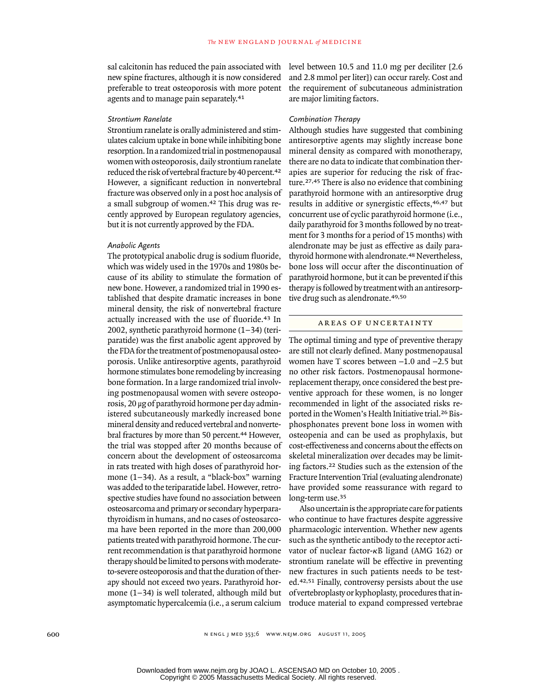sal calcitonin has reduced the pain associated with new spine fractures, although it is now considered preferable to treat osteoporosis with more potent agents and to manage pain separately.<sup>41</sup>

#### *Strontium Ranelate*

Strontium ranelate is orally administered and stimulates calcium uptake in bone while inhibiting bone resorption. In a randomized trial in postmenopausal women with osteoporosis, daily strontium ranelate reduced the risk of vertebral fracture by 40 percent.<sup>42</sup> However, a significant reduction in nonvertebral fracture was observed only in a post hoc analysis of a small subgroup of women.42 This drug was recently approved by European regulatory agencies, but it is not currently approved by the FDA.

### *Anabolic Agents*

The prototypical anabolic drug is sodium fluoride, which was widely used in the 1970s and 1980s because of its ability to stimulate the formation of new bone. However, a randomized trial in 1990 established that despite dramatic increases in bone mineral density, the risk of nonvertebral fracture actually increased with the use of fluoride.43 In 2002, synthetic parathyroid hormone (1–34) (teriparatide) was the first anabolic agent approved by the FDA for the treatment of postmenopausal osteoporosis. Unlike antiresorptive agents, parathyroid hormone stimulates bone remodeling by increasing bone formation. In a large randomized trial involving postmenopausal women with severe osteoporosis, 20 µg of parathyroid hormone per day administered subcutaneously markedly increased bone mineral density and reduced vertebral and nonvertebral fractures by more than 50 percent.44 However, the trial was stopped after 20 months because of concern about the development of osteosarcoma in rats treated with high doses of parathyroid hormone (1–34). As a result, a "black-box" warning was added to the teriparatide label. However, retrospective studies have found no association between osteosarcoma and primary or secondary hyperparathyroidism in humans, and no cases of osteosarcoma have been reported in the more than 200,000 patients treated with parathyroid hormone. The current recommendation is that parathyroid hormone therapy should be limited to persons with moderateto-severe osteoporosis and that the duration of therapy should not exceed two years. Parathyroid hormone (1–34) is well tolerated, although mild but asymptomatic hypercalcemia (i.e., a serum calcium

level between 10.5 and 11.0 mg per deciliter [2.6 and 2.8 mmol per liter]) can occur rarely. Cost and the requirement of subcutaneous administration are major limiting factors.

#### *Combination Therapy*

Although studies have suggested that combining antiresorptive agents may slightly increase bone mineral density as compared with monotherapy, there are no data to indicate that combination therapies are superior for reducing the risk of fracture.27,45 There is also no evidence that combining parathyroid hormone with an antiresorptive drug results in additive or synergistic effects,46,47 but concurrent use of cyclic parathyroid hormone (i.e., daily parathyroid for 3 months followed by no treatment for 3 months for a period of 15 months) with alendronate may be just as effective as daily parathyroid hormone with alendronate.48 Nevertheless, bone loss will occur after the discontinuation of parathyroid hormone, but it can be prevented if this therapy is followed by treatment with an antiresorptive drug such as alendronate.49,50

## areas of uncertainty

The optimal timing and type of preventive therapy are still not clearly defined. Many postmenopausal women have T scores between  $-1.0$  and  $-2.5$  but no other risk factors. Postmenopausal hormonereplacement therapy, once considered the best preventive approach for these women, is no longer recommended in light of the associated risks reported in the Women's Health Initiative trial.26 Bisphosphonates prevent bone loss in women with osteopenia and can be used as prophylaxis, but cost-effectiveness and concerns about the effects on skeletal mineralization over decades may be limiting factors.22 Studies such as the extension of the Fracture Intervention Trial (evaluating alendronate) have provided some reassurance with regard to long-term use.<sup>35</sup>

Also uncertain is the appropriate care for patients who continue to have fractures despite aggressive pharmacologic intervention. Whether new agents such as the synthetic antibody to the receptor activator of nuclear factor-*k*B ligand (AMG 162) or strontium ranelate will be effective in preventing new fractures in such patients needs to be tested.42,51 Finally, controversy persists about the use of vertebroplasty or kyphoplasty, procedures that introduce material to expand compressed vertebrae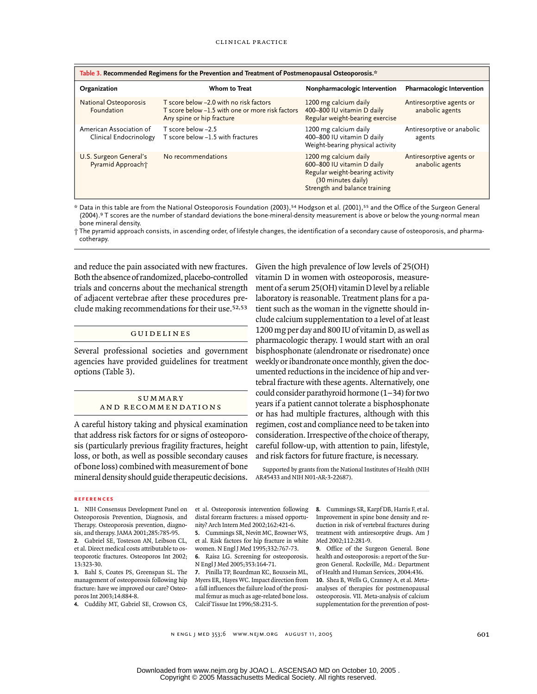| Table 3. Recommended Regimens for the Prevention and Treatment of Postmenopausal Osteoporosis.* |                                                                                                                          |                                                                                                                                               |                                             |  |  |  |  |
|-------------------------------------------------------------------------------------------------|--------------------------------------------------------------------------------------------------------------------------|-----------------------------------------------------------------------------------------------------------------------------------------------|---------------------------------------------|--|--|--|--|
| Organization                                                                                    | Whom to Treat                                                                                                            | Nonpharmacologic Intervention                                                                                                                 | Pharmacologic Intervention                  |  |  |  |  |
| <b>National Osteoporosis</b><br>Foundation                                                      | T score below -2.0 with no risk factors<br>T score below -1.5 with one or more risk factors<br>Any spine or hip fracture | 1200 mg calcium daily<br>400-800 IU vitamin D daily<br>Regular weight-bearing exercise                                                        | Antiresorptive agents or<br>anabolic agents |  |  |  |  |
| American Association of<br>Clinical Endocrinology                                               | T score below -2.5<br>T score below -1.5 with fractures                                                                  | 1200 mg calcium daily<br>400-800 IU vitamin D daily<br>Weight-bearing physical activity                                                       | Antiresorptive or anabolic<br>agents        |  |  |  |  |
| U.S. Surgeon General's<br>Pyramid Approach†                                                     | No recommendations                                                                                                       | 1200 mg calcium daily<br>600-800 IU vitamin D daily<br>Regular weight-bearing activity<br>(30 minutes daily)<br>Strength and balance training | Antiresorptive agents or<br>anabolic agents |  |  |  |  |

\* Data in this table are from the National Osteoporosis Foundation (2003),54 Hodgson et al. (2001),55 and the Office of the Surgeon General (2004).9 T scores are the number of standard deviations the bone-mineral-density measurement is above or below the young-normal mean bone mineral density.

† The pyramid approach consists, in ascending order, of lifestyle changes, the identification of a secondary cause of osteoporosis, and pharmacotherapy.

and reduce the pain associated with new fractures. Both the absence of randomized, placebo-controlled trials and concerns about the mechanical strength of adjacent vertebrae after these procedures preclude making recommendations for their use.52,53

## guidelines

Several professional societies and government agencies have provided guidelines for treatment options (Table 3).

#### **SUMMARY** and recommendations

A careful history taking and physical examination that address risk factors for or signs of osteoporosis (particularly previous fragility fractures, height loss, or both, as well as possible secondary causes of bone loss) combined with measurement of bone mineral density should guide therapeutic decisions. Given the high prevalence of low levels of 25(OH) vitamin D in women with osteoporosis, measurement of a serum 25(OH) vitamin D level by a reliable laboratory is reasonable. Treatment plans for a patient such as the woman in the vignette should include calcium supplementation to a level of at least 1200 mg per day and 800 IU of vitamin D, as well as pharmacologic therapy. I would start with an oral bisphosphonate (alendronate or risedronate) once weekly or ibandronate once monthly, given the documented reductions in the incidence of hip and vertebral fracture with these agents. Alternatively, one could consider parathyroid hormone (1–34) for two years if a patient cannot tolerate a bisphosphonate or has had multiple fractures, although with this regimen, cost and compliance need to be taken into consideration. Irrespective of the choice of therapy, careful follow-up, with attention to pain, lifestyle, and risk factors for future fracture, is necessary.

Supported by grants from the National Institutes of Health (NIH AR45433 and NIH N01-AR-3-22687).

#### **references**

**1.** NIH Consensus Development Panel on Osteoporosis Prevention, Diagnosis, and Therapy. Osteoporosis prevention, diagnosis, and therapy. JAMA 2001;285:785-95.

**2.** Gabriel SE, Tosteson AN, Leibson CL, et al. Direct medical costs attributable to osteoporotic fractures. Osteoporos Int 2002; 13:323-30. **3.** Bahl S, Coates PS, Greenspan SL. The

management of osteoporosis following hip fracture: have we improved our care? Osteoporos Int 2003;14:884-8.

**4.** Cuddihy MT, Gabriel SE, Crowson CS,

et al. Osteoporosis intervention following distal forearm fractures: a missed opportunity? Arch Intern Med 2002;162:421-6.

**5.** Cummings SR, Nevitt MC, Browner WS, et al. Risk factors for hip fracture in white women. N Engl J Med 1995;332:767-73. **6.** Raisz LG. Screening for osteoporosis.

N Engl J Med 2005;353:164-71. **7.** Pinilla TP, Boardman KC, Bouxsein ML,

Myers ER, Hayes WC. Impact direction from a fall influences the failure load of the proximal femur as much as age-related bone loss. Calcif Tissue Int 1996;58:231-5.

**8.** Cummings SR, Karpf DB, Harris F, et al. Improvement in spine bone density and reduction in risk of vertebral fractures during treatment with antiresorptive drugs. Am J Med 2002;112:281-9.

**9.** Office of the Surgeon General. Bone health and osteoporosis: a report of the Surgeon General. Rockville, Md.: Department of Health and Human Services, 2004:436. **10.** Shea B, Wells G, Cranney A, et al. Metaanalyses of therapies for postmenopausal osteoporosis. VII. Meta-analysis of calcium supplementation for the prevention of post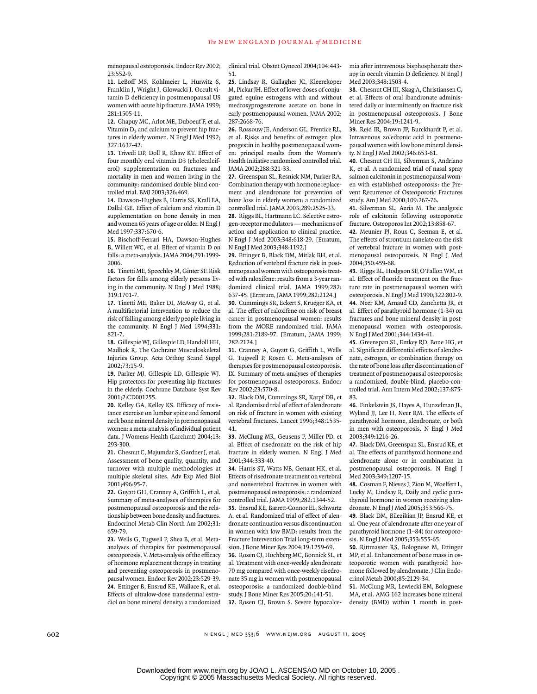menopausal osteoporosis. Endocr Rev 2002; 23:552-9.

**11.** LeBoff MS, Kohlmeier L, Hurwitz S, Franklin J, Wright J, Glowacki J. Occult vitamin D deficiency in postmenopausal US women with acute hip fracture. JAMA 1999; 281:1505-11.

**12.** Chapuy MC, Arlot ME, Duboeuf F, et al. Vitamin  $D_3$  and calcium to prevent hip fractures in elderly women. N Engl J Med 1992; 327:1637-42.

**13.** Trivedi DP, Doll R, Khaw KT. Effect of four monthly oral vitamin D3 (cholecalciferol) supplementation on fractures and mortality in men and women living in the community: randomised double blind controlled trial. BMJ 2003;326:469.

**14.** Dawson-Hughes B, Harris SS, Krall EA, Dallal GE. Effect of calcium and vitamin D supplementation on bone density in men and women 65 years of age or older. N Engl J Med 1997;337:670-6.

**15.** Bischoff-Ferrari HA, Dawson-Hughes B, Willett WC, et al. Effect of vitamin D on falls: a meta-analysis. JAMA 2004;291:1999- 2006.

**16.** Tinetti ME, Speechley M, Ginter SF. Risk factors for falls among elderly persons living in the community. N Engl J Med 1988; 319:1701-7.

**17.** Tinetti ME, Baker DI, McAvay G, et al. A multifactorial intervention to reduce the risk of falling among elderly people living in the community. N Engl J Med 1994;331: 821-7.

**18.** Gillespie WJ, Gillespie LD, Handoll HH, Madhok R. The Cochrane Musculoskeletal Injuries Group. Acta Orthop Scand Suppl 2002;73:15-9.

**19.** Parker MJ, Gillespie LD, Gillespie WJ. Hip protectors for preventing hip fractures in the elderly. Cochrane Database Syst Rev 2001;2:CD001255.

**20.** Kelley GA, Kelley KS. Efficacy of resistance exercise on lumbar spine and femoral neck bone mineral density in premenopausal women: a meta-analysis of individual patient data. J Womens Health (Larchmt) 2004;13: 293-300.

**21.** Chesnut C, Majumdar S, Gardner J, et al. Assessment of bone quality, quantity, and turnover with multiple methodologies at multiple skeletal sites. Adv Exp Med Biol 2001;496:95-7.

**22.** Guyatt GH, Cranney A, Griffith L, et al. Summary of meta-analyses of therapies for postmenopausal osteoporosis and the relationship between bone density and fractures. Endocrinol Metab Clin North Am 2002;31: 659-79.

**23.** Wells G, Tugwell P, Shea B, et al. Metaanalyses of therapies for postmenopausal osteoporosis. V. Meta-analysis of the efficacy of hormone replacement therapy in treating and preventing osteoporosis in postmenopausal women. Endocr Rev 2002;23:529-39. **24.** Ettinger B, Ensrud KE, Wallace R, et al. Effects of ultralow-dose transdermal estradiol on bone mineral density: a randomized

clinical trial. Obstet Gynecol 2004;104:443- 51.

**25.** Lindsay R, Gallagher JC, Kleerekoper M, Pickar JH. Effect of lower doses of conjugated equine estrogens with and without medroxyprogesterone acetate on bone in early postmenopausal women. JAMA 2002; 287:2668-76.

**26.** Rossouw JE, Anderson GL, Prentice RL, et al. Risks and benefits of estrogen plus progestin in healthy postmenopausal women: principal results from the Women's Health Initiative randomized controlled trial. JAMA 2002;288:321-33.

**27.** Greenspan SL, Resnick NM, Parker RA. Combination therapy with hormone replacement and alendronate for prevention of bone loss in elderly women: a randomized controlled trial. JAMA 2003;289:2525-33.

**28.** Riggs BL, Hartmann LC. Selective estrogen-receptor modulators — mechanisms of action and application to clinical practice. N Engl J Med 2003;348:618-29. [Erratum, N Engl J Med 2003;348:1192.]

**29.** Ettinger B, Black DM, Mitlak BH, et al. Reduction of vertebral fracture risk in postmenopausal women with osteoporosis treated with raloxifene: results from a 3-year randomized clinical trial. JAMA 1999;282:

637-45. [Erratum, JAMA 1999;282:2124.] **30.** Cummings SR, Eckert S, Krueger KA, et al. The effect of raloxifene on risk of breast cancer in postmenopausal women: results from the MORE randomized trial. JAMA 1999;281:2189-97. [Erratum, JAMA 1999; 282:2124.]

**31.** Cranney A, Guyatt G, Griffith L, Wells G, Tugwell P, Rosen C. Meta-analyses of therapies for postmenopausal osteoporosis. IX. Summary of meta-analyses of therapies for postmenopausal osteoporosis. Endocr Rev 2002;23:570-8.

**32.** Black DM, Cummings SR, Karpf DB, et al. Randomised trial of effect of alendronate on risk of fracture in women with existing vertebral fractures. Lancet 1996;348:1535- 41.

**33.** McClung MR, Geusens P, Miller PD, et al. Effect of risedronate on the risk of hip fracture in elderly women. N Engl J Med 2001;344:333-40.

**34.** Harris ST, Watts NB, Genant HK, et al. Effects of risedronate treatment on vertebral and nonvertebral fractures in women with postmenopausal osteoporosis: a randomized controlled trial. JAMA 1999;282:1344-52.

**35.** Ensrud KE, Barrett-Connor EL, Schwartz A, et al. Randomized trial of effect of alendronate continuation versus discontinuation in women with low BMD: results from the Fracture Intervention Trial long-term extension. J Bone Miner Res 2004;19:1259-69.

**36.** Rosen CJ, Hochberg MC, Bonnick SL, et al. Treatment with once-weekly alendronate 70 mg compared with once-weekly risedronate 35 mg in women with postmenopausal osteoporosis: a randomized double-blind study. J Bone Miner Res 2005;20:141-51. **37.** Rosen CJ, Brown S. Severe hypocalcemia after intravenous bisphosphonate therapy in occult vitamin D deficiency. N Engl J Med 2003;348:1503-4.

**38.** Chesnut CH III, Skag A, Christiansen C, et al. Effects of oral ibandronate administered daily or intermittently on fracture risk in postmenopausal osteoporosis. J Bone Miner Res 2004;19:1241-9.

**39.** Reid IR, Brown JP, Burckhardt P, et al. Intravenous zoledronic acid in postmenopausal women with low bone mineral density. N Engl J Med 2002;346:653-61.

**40.** Chesnut CH III, Silverman S, Andriano K, et al. A randomized trial of nasal spray salmon calcitonin in postmenopausal women with established osteoporosis: the Prevent Recurrence of Osteoporotic Fractures study. Am J Med 2000;109:267-76.

**41.** Silverman SL, Azria M. The analgesic role of calcitonin following osteoporotic fracture. Osteoporos Int 2002;13:858-67.

**42.** Meunier PJ, Roux C, Seeman E, et al. The effects of strontium ranelate on the risk of vertebral fracture in women with postmenopausal osteoporosis. N Engl J Med 2004;350:459-68.

**43.** Riggs BL, Hodgson SF, O'Fallon WM, et al. Effect of fluoride treatment on the fracture rate in postmenopausal women with osteoporosis. N Engl J Med 1990;322:802-9. **44.** Neer RM, Arnaud CD, Zanchetta JR, et al. Effect of parathyroid hormone (1-34) on fractures and bone mineral density in postmenopausal women with osteoporosis. N Engl J Med 2001;344:1434-41.

**45.** Greenspan SL, Emkey RD, Bone HG, et al. Significant differential effects of alendronate, estrogen, or combination therapy on the rate of bone loss after discontinuation of treatment of postmenopausal osteoporosis: a randomized, double-blind, placebo-controlled trial. Ann Intern Med 2002;137:875- 83.

**46.** Finkelstein JS, Hayes A, Hunzelman JL, Wyland JJ, Lee H, Neer RM. The effects of parathyroid hormone, alendronate, or both in men with osteoporosis. N Engl J Med 2003;349:1216-26.

**47.** Black DM, Greenspan SL, Ensrud KE, et al. The effects of parathyroid hormone and alendronate alone or in combination in postmenopausal osteoporosis. N Engl J Med 2003;349:1207-15.

**48.** Cosman F, Nieves J, Zion M, Woelfert L, Lucky M, Lindsay R. Daily and cyclic parathyroid hormone in women receiving alendronate. N Engl J Med 2005;353:566-75.

**49.** Black DM, Bilezikian JP, Ensrud KE, et al. One year of alendronate after one year of parathyroid hormone (1–84) for osteoporosis. N Engl J Med 2005;353:555-65.

**50.** Rittmaster RS, Bolognese M, Ettinger MP, et al. Enhancement of bone mass in osteoporotic women with parathyroid hormone followed by alendronate. J Clin Endocrinol Metab 2000;85:2129-34.

**51.** McClung MR, Lewiecki EM, Bolognese MA, et al. AMG 162 increases bone mineral density (BMD) within 1 month in post